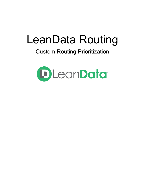# LeanData Routing

## Custom Routing Prioritization

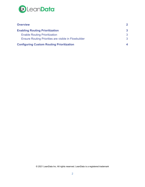

| <b>Overview</b>                                      | $\mathbf{2}$ |
|------------------------------------------------------|--------------|
| <b>Enabling Routing Prioritization</b>               | 3            |
| <b>Enable Routing Prioritization</b>                 | 3            |
| Ensure Routing Priorities are visible in Flowbuilder | 3            |
| <b>Configuring Custom Routing Prioritization</b>     |              |

© 2021 LeanData Inc. All rights reserved. LeanData is a registered trademark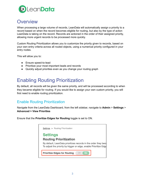

#### <span id="page-2-0"></span>**Overview**

When processing a large volume of records, LeanData will automatically assign a priority to a record based on when the record becomes eligible for routing, but also by the type of action LeanData is taking on the record. Records are actioned in the order of their assigned priority, allowing more urgent records to be processed more quickly.

Custom Routing Prioritization allows you to customize the priority given to records, based on your own entry criteria across all routed objects, using a numerical priority configured in your entry nodes.

This will allow you to:

- Ensure speed-to-lead
- Prioritize your most important leads and records
- Quickly adjust priorities even as you change your routing graph

## <span id="page-2-1"></span>Enabling Routing Prioritization

By default, all records will be given the same priority, and will be processed according to when they became eligible for routing. If you would like to assign your own custom priority, you will first need to enable routing prioritization.

#### <span id="page-2-2"></span>Enable Routing Prioritization

Navigate from the LeanData Dashboard, from the left sidebar, navigate to **Admin** > **Settings** > **Advanced > View Priorities**

Ensure that the **Prioritize Edges for Routing** toggle is set to ON.

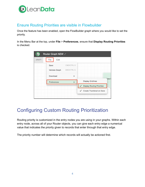

#### <span id="page-3-0"></span>Ensure Routing Priorities are visible in Flowbuilder

Once the feature has been enabled, open the FlowBuilder graph where you would like to set the priority.

In the Menu Bar at the top, under **File** > **Preferences**, ensure that **Display Routing Priorities** is checked.

| Router Graph NEW<br>D |                |                   |                                          |  |  |  |
|-----------------------|----------------|-------------------|------------------------------------------|--|--|--|
| <b>DRAFT</b>          | Edit<br>File   |                   |                                          |  |  |  |
|                       | Save           | <b>CMD/CTRLS</b>  |                                          |  |  |  |
|                       | Validate Graph | <b>CMD/CTRL G</b> |                                          |  |  |  |
| Download              |                | Þ                 | <b>New L</b>                             |  |  |  |
|                       | Preferences    |                   | <b>Display Gridlines</b>                 |  |  |  |
|                       |                |                   | <b>Display Routing Priorities</b>        |  |  |  |
|                       |                |                   | Create Thumbnail on Save<br>$\checkmark$ |  |  |  |

## <span id="page-3-1"></span>Configuring Custom Routing Prioritization

Routing priority is customized in the entry nodes you are using in your graphs. Within each entry node, across all of your Router objects, you can give each entry edge a numerical value that indicates the priority given to records that enter through that entry edge.

The priority number will determine which records will actually be actioned first.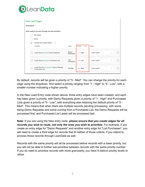

| <b>New Lead Trigger</b><br>Description > |                                                |                                                              |                  |                  |            |              |                                 |  |  |  |  |
|------------------------------------------|------------------------------------------------|--------------------------------------------------------------|------------------|------------------|------------|--------------|---------------------------------|--|--|--|--|
|                                          | New Leads to be sent through the lead workflow |                                                              |                  |                  |            |              |                                 |  |  |  |  |
|                                          |                                                | All Leads                                                    |                  |                  |            |              |                                 |  |  |  |  |
|                                          |                                                | None                                                         |                  |                  |            |              |                                 |  |  |  |  |
|                                          | ۰                                              | Include the Leads below: $\langle ? \rangle$                 |                  |                  |            |              |                                 |  |  |  |  |
|                                          |                                                | Condition                                                    | Label            | Priority (?) ON  | Target     |              |                                 |  |  |  |  |
|                                          | $\leftarrow$ $\rightarrow$                     | (Lead Source equals Demo Request)                            | Demo<br>Requests | 1 - High $\vee$  | Junk Lead? | $\checkmark$ | $\hspace{0.1mm}-\hspace{0.1mm}$ |  |  |  |  |
|                                          |                                                | $\leftarrow \rightarrow$ (Lead Source equals Purchased List) | List<br>purchase | $9$ - Low $\sim$ | Junk Lead? | $\checkmark$ | $\hspace{0.1mm}-\hspace{0.1mm}$ |  |  |  |  |
|                                          | $\leftarrow \rightarrow$                       | (Lead Source not equal to Demo Request,<br>Purchased List)   | All Else         | 5 - Med $\vee$   | Junk Lead? | $\checkmark$ |                                 |  |  |  |  |

By default, records will be given a priority of "5 - Med". You can change the priority for each edge using the dropdown. And select a priority ranging from "1 - High" to "9 - Low", with a smaller number indicating a higher priority.

In the New Lead Entry node shown above, three entry edges have been created, and each has been given a priority, with Demo Requests given a priority of "1 - High" and Purchased Lists given a priority of "9 - Low", with everything else retaining the default priority of "5 - Med". This means that when there are multiple records pending processing, with some being Demo Requests and some coming from a Purchased List, the Demo Requests will be processed first, and Purchased List Leads will be processed last.

**Note**: If you are using the New entry node, *please ensure that you create edges for all records you wish to route, not only the ones you wish to prioritize*. For example, if you create an entry edge for "Demo Requests" and another entry edge for "List Purchases", you will need to create a third edge for records that fit neither of those criteria, if you intend to process those records through LeanData as well.

Records with the same priority will all be processed before records with a lower priority, but you will not be able to further sub-prioritize between records with the same priority number. If you do need to prioritize records with more granularity, you have 9 distinct priority levels to utilize.